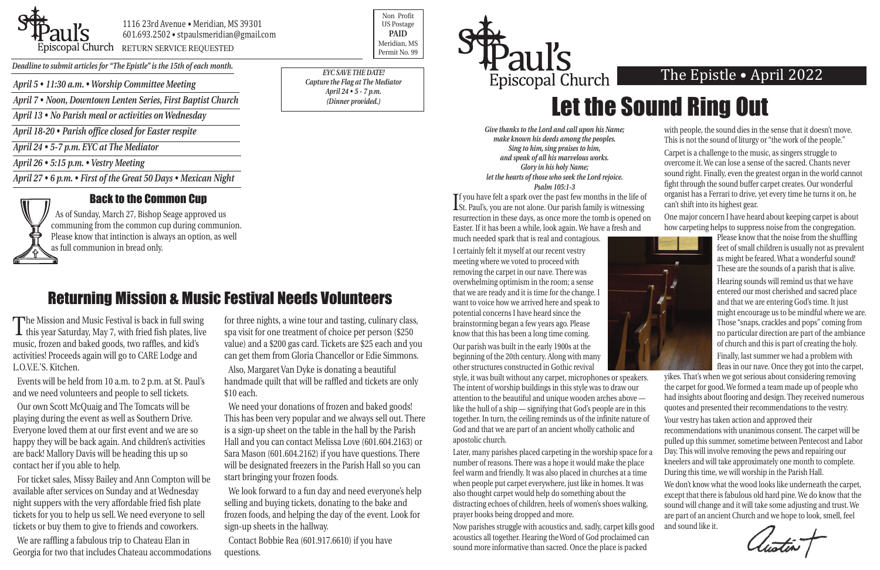*April 5 • 11:30 a.m. • Worship Committee Meeting*

*April 7 • Noon, Downtown Lenten Series, First Baptist Church*

*April 13 • No Parish meal or activities on Wednesday*



#### 1116 23rd Avenue • Meridian, MS 39301 601.693.2502 • stpaulsmeridian@gmail.com Priscopal Church RETURN SERVICE REQUESTED Research of the permit No. 99

*April 18-20 • Parish office closed for Easter respite*

*April 24 • 5-7 p.m. EYC at The Mediator*

*April 26 • 5:15 p.m. • Vestry Meeting*

*April 27 • 6 p.m. • First of the Great 50 Days • Mexican Night* 



Non Profit US Postage **PAID** Meridian, MS

*Deadline to submit articles for "The Epistle" is the 15th of each month.* 

### The Epistle • April 2022

# Let the Sound Ring Out

*Give thanks to the Lord and call upon his Name; make known his deeds among the peoples. Sing to him, sing praises to him, and speak of all his marvelous works. Glory in his holy Name; let the hearts of those who seek the Lord rejoice. Psalm 105:1-3*

I certainly felt it myself at our recent vestry meeting where we voted to proceed with removing the carpet in our nave. There was overwhelming optimism in the room; a sense that we are ready and it is time for the change. I want to voice how we arrived here and speak to potential concerns I have heard since the brainstorming began a few years ago. Please know that this has been a long time coming.

If you have felt a spark over the past few months in the life of St. Paul's, you are not alone. Our parish family is witnessing  $\mathbf T$ f you have felt a spark over the past few months in the life of resurrection in these days, as once more the tomb is opened on Easter. If it has been a while, look again. We have a fresh and much needed spark that is real and contagious. can't shift into its highest gear. One major concern I have heard about keeping carpet is about how carpeting helps to suppress noise from the congregation.

Our parish was built in the early 1900s at the beginning of the 20th century. Along with many other structures constructed in Gothic revival

feel warm and friendly. It was also placed in churches at a time when people put carpet everywhere, just like in homes. It was also thought carpet would help do something about the distracting echoes of children, heels of women's shoes walking, prayer books being dropped and more.

The Mission and Music Festival is back in full swing<br>this year Saturday, May 7, with fried fish plates, live music, frozen and baked goods, two raffles, and kid's activities! Proceeds again will go to CARE Lodge and L.O.V.E.'S. Kitchen.

> Now parishes struggle with acoustics and, sadly, carpet kills good acoustics all together. Hearing the Word of God proclaimed can sound more informative than sacred. Once the place is packed



with people, the sound dies in the sense that it doesn't move. This is not the sound of liturgy or "the work of the people." Carpet is a challenge to the music, as singers struggle to overcome it. We can lose a sense of the sacred. Chants never sound right. Finally, even the greatest organ in the world cannot fight through the sound buffer carpet creates. Our wonderful organist has a Ferrari to drive, yet every time he turns it on, he



style, it was built without any carpet, microphones or speakers. The intent of worship buildings in this style was to draw our attention to the beautiful and unique wooden arches above like the hull of a ship — signifying that God's people are in this together. In turn, the ceiling reminds us of the infinite nature of God and that we are part of an ancient wholly catholic and apostolic church. Later, many parishes placed carpeting in the worship space for a number of reasons. There was a hope it would make the place yikes. That's when we got serious about considering removing the carpet for good. We formed a team made up of people who had insights about flooring and design. They received numerous quotes and presented their recommendations to the vestry. Your vestry has taken action and approved their recommendations with unanimous consent. The carpet will be pulled up this summer, sometime between Pentecost and Labor Day. This will involve removing the pews and repairing our kneelers and will take approximately one month to complete. During this time, we will worship in the Parish Hall.

Please know that the noise from the shuffling feet of small children is usually not as prevalent as might be feared. What a wonderful sound! These are the sounds of a parish that is alive. Hearing sounds will remind us that we have entered our most cherished and sacred place and that we are entering God's time. It just might encourage us to be mindful where we are. Those "snaps, crackles and pops" coming from no particular direction are part of the ambiance of church and this is part of creating the holy. Finally, last summer we had a problem with fleas in our nave. Once they got into the carpet,

We don't know what the wood looks like underneath the carpet, except that there is fabulous old hard pine. We do know that the sound will change and it will take some adjusting and trust. We are part of an ancient Church and we hope to look, smell, feel and sound like it.

Events will be held from 10 a.m. to 2 p.m. at St. Paul's and we need volunteers and people to sell tickets.

Our own Scott McQuaig and The Tomcats will be playing during the event as well as Southern Drive. Everyone loved them at our first event and we are so happy they will be back again. And children's activities are back! Mallory Davis will be heading this up so contact her if you able to help.

For ticket sales, Missy Bailey and Ann Compton will be available after services on Sunday and at Wednesday night suppers with the very affordable fried fish plate tickets for you to help us sell. We need everyone to sell tickets or buy them to give to friends and coworkers.

We are raffling a fabulous trip to Chateau Elan in Georgia for two that includes Chateau accommodations for three nights, a wine tour and tasting, culinary class, spa visit for one treatment of choice per person (\$250 value) and a \$200 gas card. Tickets are \$25 each and you can get them from Gloria Chancellor or Edie Simmons.

Also, Margaret Van Dyke is donating a beautiful handmade quilt that will be raffled and tickets are only \$10 each.

We need your donations of frozen and baked goods! This has been very popular and we always sell out. There is a sign-up sheet on the table in the hall by the Parish Hall and you can contact Melissa Love (601.604.2163) or Sara Mason (601.604.2162) if you have questions. There will be designated freezers in the Parish Hall so you can start bringing your frozen foods.

We look forward to a fun day and need everyone's help selling and buying tickets, donating to the bake and frozen foods, and helping the day of the event. Look for sign-up sheets in the hallway.

Contact Bobbie Rea (601.917.6610) if you have questions.



### Returning Mission & Music Festival Needs Volunteers

#### Back to the Common Cup

As of Sunday, March 27, Bishop Seage approved us communing from the common cup during communion. Please know that intinction is always an option, as well as full communion in bread only.

*EYC SAVE THE DATE! Capture the Flag at The Mediator April 24 • 5 - 7 p.m. (Dinner provided.)*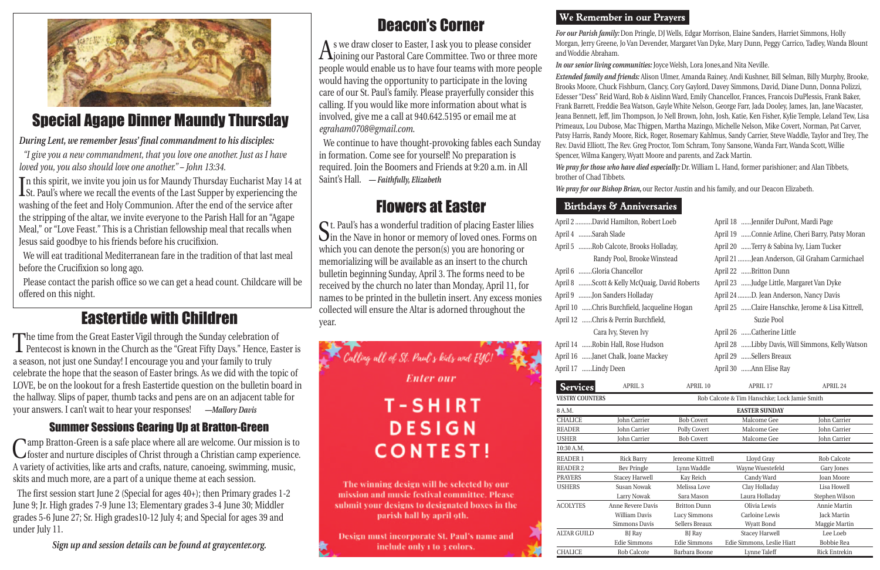| <b>Services</b>        | APRIL <sub>3</sub>                           | APRIL 10                | APRIL <sub>17</sub>        | APRIL 24             |
|------------------------|----------------------------------------------|-------------------------|----------------------------|----------------------|
| <b>VESTRY COUNTERS</b> | Rob Calcote & Tim Hanschke; Lock Jamie Smith |                         |                            |                      |
| 8 A.M.                 |                                              |                         | <b>EASTER SUNDAY</b>       |                      |
| <b>CHALICE</b>         | John Carrier                                 | <b>Bob Covert</b>       | Malcome Gee                | John Carrier         |
| <b>READER</b>          | John Carrier                                 | Polly Covert            | Malcome Gee                | John Carrier         |
| <b>USHER</b>           | <b>John Carrier</b>                          | <b>Bob Covert</b>       | Malcome Gee                | John Carrier         |
| 10:30 A.M.             |                                              |                         |                            |                      |
| <b>READER 1</b>        | <b>Rick Barry</b>                            | <b>Jereome Kittrell</b> | Lloyd Gray                 | <b>Rob Calcote</b>   |
| <b>READER 2</b>        | <b>Bev Pringle</b>                           | Lynn Waddle             | Wayne Wuestefeld           | Gary Jones           |
| <b>PRAYERS</b>         | <b>Stacey Harwell</b>                        | Kay Reich               | Candy Ward                 | Joan Moore           |
| <b>USHERS</b>          | Susan Nowak                                  | Melissa Love            | Clay Holladay              | Lisa Howell          |
|                        | Larry Nowak                                  | Sara Mason              | Laura Holladay             | Stephen Wilson       |
| <b>ACOLYTES</b>        | Anne Revere Davis                            | <b>Britton Dunn</b>     | Olivia Lewis               | Annie Martin         |
|                        | William Davis                                | Lucy Simmons            | Carloine Lewis             | <b>Jack Martin</b>   |
|                        | Simmons Davis                                | Sellers Breaux          | Wyatt Bond                 | Maggie Martin        |
| <b>ALTAR GUILD</b>     | BJ Ray                                       | <b>BJ</b> Ray           | <b>Stacey Harwell</b>      | Lee Loeb             |
|                        | Edie Simmons                                 | Edie Simmons            | Edie Simmons, Leslie Hiatt | Bobbie Rea           |
| <b>CHALICE</b>         | <b>Rob Calcote</b>                           | Barbara Boone           | Lynne Taleff               | <b>Rick Entrekin</b> |

*For our Parish family:* Don Pringle, DJ Wells, Edgar Morrison, Elaine Sanders, Harriet Simmons, Holly Morgan, Jerry Greene, Jo Van Devender, Margaret Van Dyke, Mary Dunn, Peggy Carrico, Tadley, Wanda Blount

and Woddie Abraham.

| April 2 David Hamilton, Robert Loeb          |
|----------------------------------------------|
| April 4 Sarah Slade                          |
| April 5 Rob Calcote, Brooks Holladay,        |
| Randy Pool, Brooke Winstead                  |
| April 6 Gloria Chancellor                    |
| April 8 Scott & Kelly McQuaig, David Roberts |
| April 9 Jon Sanders Holladay                 |
| April 10 Chris Burchfield, Jacqueline Hogan  |
| April 12 Chris & Perrin Burchfield,          |
| Cara Ivy, Steven Ivy                         |
| April 14 Robin Hall, Rose Hudson             |
| April 16 Janet Chalk, Joane Mackey           |

*In our senior living communities:* Joyce Welsh, Lora Jones,and Nita Neville.

*Extended family and friends:* Alison Ulmer, Amanda Rainey, Andi Kushner, Bill Selman, Billy Murphy, Brooke, Brooks Moore, Chuck Fishburn, Clancy, Cory Gaylord, Davey Simmons, David, Diane Dunn, Donna Polizzi, Edesser "Dess" Reid Ward, Rob & Aislinn Ward, Emily Chancellor, Frances, Francois DuPlessis, Frank Baker, Frank Barrett, Freddie Bea Watson, Gayle White Nelson, George Farr, Jada Dooley, James, Jan, Jane Wacaster, Jeana Bennett, Jeff, Jim Thompson, Jo Nell Brown, John, Josh, Katie, Ken Fisher, Kylie Temple, Leland Tew, Lisa Primeaux, Lou Dubose, Mac Thigpen, Martha Mazingo, Michelle Nelson, Mike Covert, Norman, Pat Carver, Patsy Harris, Randy Moore, Rick, Roger, Rosemary Kahlmus, Sandy Carrier, Steve Waddle, Taylor and Trey, The Rev. David Elliott, The Rev. Greg Proctor, Tom Schram, Tony Sansone, Wanda Farr, Wanda Scott, Willie Spencer, Wilma Kangery, Wyatt Moore and parents, and Zack Martin.

*We pray for those who have died especially:* Dr. William L. Hand, former parishioner; and Alan Tibbets,

brother of Chad Tibbets.

In this spirit, we invite you join us for Maundy Thursday Eucharist May 14 and St. Paul's where we recall the events of the Last Supper by experiencing the n this spirit, we invite you join us for Maundy Thursday Eucharist May 14 at washing of the feet and Holy Communion. After the end of the service after the stripping of the altar, we invite everyone to the Parish Hall for an "Agape Meal," or "Love Feast." This is a Christian fellowship meal that recalls when Jesus said goodbye to his friends before his crucifixion.

*We pray for our Bishop Brian,* our Rector Austin and his family, and our Deacon Elizabeth.

#### Birthdays & Annive

April 17 ......Lindy Deen

 $A$ s we draw closer to Easter, I ask you to please consider<br>Ajoining our Pastoral Care Committee. Two or three more people would enable us to have four teams with more people would having the opportunity to participate in the loving care of our St. Paul's family. Please prayerfully consider this calling. If you would like more information about what is involved, give me a call at 940.642.5195 or email me at *egraham0708@gmail.com*.

| ersaries           |                                               |                                                   |
|--------------------|-----------------------------------------------|---------------------------------------------------|
| bert Loeb          | April 18 Jennifer DuPont, Mardi Page          |                                                   |
|                    |                                               | April 19 Connie Arline, Cheri Barry, Patsy Moran  |
| s Holladay,        | April 20 Terry & Sabina Ivy, Liam Tucker      |                                                   |
| e Winstead         | April 21 Jean Anderson, Gil Graham Carmichael |                                                   |
|                    | April 22 Britton Dunn                         |                                                   |
| aig, David Roberts | April 23 Judge Little, Margaret Van Dyke      |                                                   |
| ay                 | April 24 D. Jean Anderson, Nancy Davis        |                                                   |
| cqueline Hogan     |                                               | April 25 Claire Hanschke, Jerome & Lisa Kittrell, |
| hfield,            | Suzie Pool                                    |                                                   |
|                    | April 26 Catherine Little                     |                                                   |
| udson              |                                               | April 28 Libby Davis, Will Simmons, Kelly Watson  |
| Mackey             | April 29 Sellers Breaux                       |                                                   |
|                    | April 30 Ann Elise Ray                        |                                                   |
| APRIL 10           | APRIL 17                                      | APRIL 24                                          |

### Eastertide with Children

The time from the Great Easter Vigil through the Sunday celebration of Pentecost is known in the Church as the "Great Fifty Days." Hence, Easter is a season, not just one Sunday! I encourage you and your family to truly celebrate the hope that the season of Easter brings. As we did with the topic of LOVE, be on the lookout for a fresh Eastertide question on the bulletin board in the hallway. Slips of paper, thumb tacks and pens are on an adjacent table for your answers. I can't wait to hear your responses! *—Mallory Davis*

#### *During Lent, we remember Jesus' final commandment to his disciples:*

*"I give you a new commandment, that you love one another. Just as I have loved you, you also should love one another." – John 13:34.*

We will eat traditional Mediterranean fare in the tradition of that last meal before the Crucifixion so long ago.

Please contact the parish office so we can get a head count. Childcare will be offered on this night.

### Summer Sessions Gearing Up at Bratton-Green

Camp Bratton-Green is a safe place where all are welcome. Our mission is to foster and nurture disciples of Christ through a Christian camp experience. A variety of activities, like arts and crafts, nature, canoeing, swimming, music, skits and much more, are a part of a unique theme at each session.

The first session start June 2 (Special for ages 40+); then Primary grades 1-2 June 9; Jr. High grades 7-9 June 13; Elementary grades 3-4 June 30; Middler grades 5-6 June 27; Sr. High grades10-12 July 4; and Special for ages 39 and under July 11.

*Sign up and session details can be found at graycenter.org.*

### Deacon's Corner

We continue to have thought-provoking fables each Sunday in formation. Come see for yourself! No preparation is required. Join the Boomers and Friends at 9:20 a.m. in All Saint's Hall. *— Faithfully, Elizabeth*

### Flowers at Easter

St. Paul's has a wonderful tradition of placing Easter lilies in the Nave in honor or memory of loved ones. Forms on which you can denote the person(s) you are honoring or memorializing will be available as an insert to the church bulletin beginning Sunday, April 3. The forms need to be received by the church no later than Monday, April 11, for names to be printed in the bulletin insert. Any excess monies collected will ensure the Altar is adorned throughout the year.



#### We Remember in our Prayers



### Special Agape Dinner Maundy Thursday